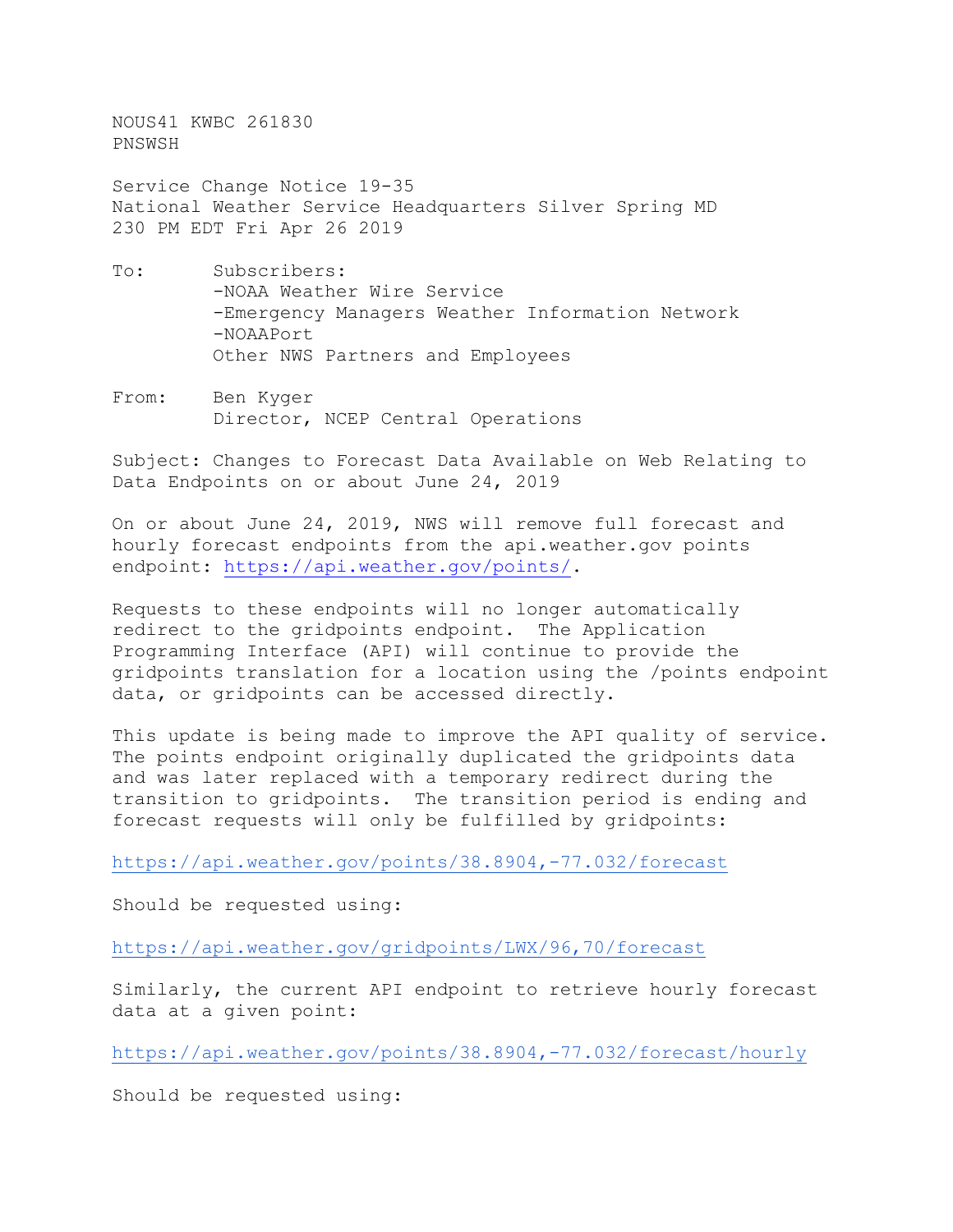NOUS41 KWBC 261830 PNSWSH

Service Change Notice 19-35 National Weather Service Headquarters Silver Spring MD 230 PM EDT Fri Apr 26 2019

- To: Subscribers: -NOAA Weather Wire Service -Emergency Managers Weather Information Network -NOAAPort Other NWS Partners and Employees
- From: Ben Kyger Director, NCEP Central Operations

Subject: Changes to Forecast Data Available on Web Relating to Data Endpoints on or about June 24, 2019

On or about June 24, 2019, NWS will remove full forecast and hourly forecast endpoints from the api.weather.gov points endpoint: [https://api.weather.gov/points/.](https://api.weather.gov/points/)

Requests to these endpoints will no longer automatically redirect to the gridpoints endpoint. The Application Programming Interface (API) will continue to provide the gridpoints translation for a location using the /points endpoint data, or gridpoints can be accessed directly.

This update is being made to improve the API quality of service. The points endpoint originally duplicated the gridpoints data and was later replaced with a temporary redirect during the transition to gridpoints. The transition period is ending and forecast requests will only be fulfilled by gridpoints:

<https://api.weather.gov/points/38.8904,-77.032/forecast>

Should be requested using:

<https://api.weather.gov/gridpoints/LWX/96,70/forecast>

Similarly, the current API endpoint to retrieve hourly forecast data at a given point:

<https://api.weather.gov/points/38.8904,-77.032/forecast/hourly>

Should be requested using: